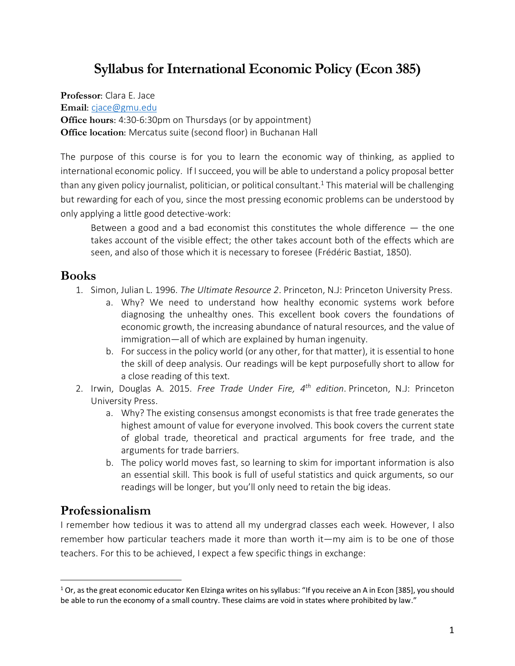# **Syllabus for International Economic Policy (Econ 385)**

**Professor**: Clara E. Jace

**Email**: [cjace@gmu.edu](mailto:cjace@gmu.edu)

**Office hours**: 4:30-6:30pm on Thursdays (or by appointment) **Office location:** Mercatus suite (second floor) in Buchanan Hall

The purpose of this course is for you to learn the economic way of thinking, as applied to international economic policy. If I succeed, you will be able to understand a policy proposal better than any given policy journalist, politician, or political consultant. <sup>1</sup> This material will be challenging but rewarding for each of you, since the most pressing economic problems can be understood by only applying a little good detective-work:

Between a good and a bad economist this constitutes the whole difference  $-$  the one takes account of the visible effect; the other takes account both of the effects which are seen, and also of those which it is necessary to foresee (Frédéric Bastiat, 1850).

#### **Books**

- 1. Simon, Julian L. 1996. *The Ultimate Resource 2*. Princeton, N.J: Princeton University Press.
	- a. Why? We need to understand how healthy economic systems work before diagnosing the unhealthy ones. This excellent book covers the foundations of economic growth, the increasing abundance of natural resources, and the value of immigration—all of which are explained by human ingenuity.
	- b. For success in the policy world (or any other, for that matter), it is essential to hone the skill of deep analysis. Our readings will be kept purposefully short to allow for a close reading of this text.
- 2. Irwin, Douglas A. 2015. *Free Trade Under Fire, 4th edition*. Princeton, N.J: Princeton University Press.
	- a. Why? The existing consensus amongst economists is that free trade generates the highest amount of value for everyone involved. This book covers the current state of global trade, theoretical and practical arguments for free trade, and the arguments for trade barriers.
	- b. The policy world moves fast, so learning to skim for important information is also an essential skill. This book is full of useful statistics and quick arguments, so our readings will be longer, but you'll only need to retain the big ideas.

### **Professionalism**

I remember how tedious it was to attend all my undergrad classes each week. However, I also remember how particular teachers made it more than worth it—my aim is to be one of those teachers. For this to be achieved, I expect a few specific things in exchange:

<sup>&</sup>lt;sup>1</sup> Or, as the great economic educator Ken Elzinga writes on his syllabus: "If you receive an A in Econ [385], you should be able to run the economy of a small country. These claims are void in states where prohibited by law."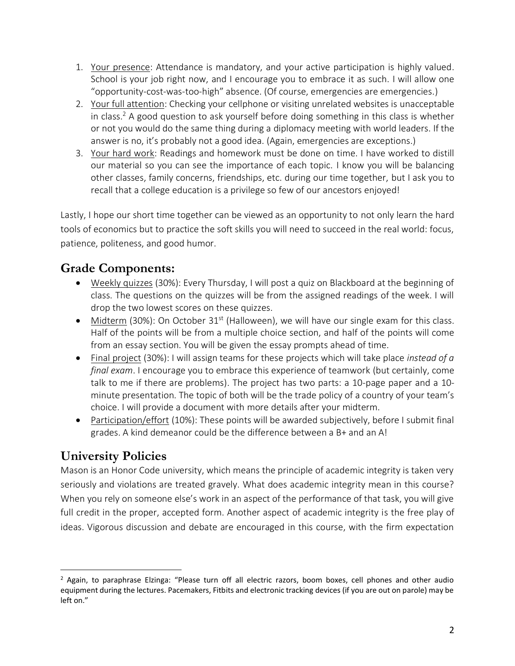- 1. Your presence: Attendance is mandatory, and your active participation is highly valued. School is your job right now, and I encourage you to embrace it as such. I will allow one "opportunity-cost-was-too-high" absence. (Of course, emergencies are emergencies.)
- 2. Your full attention: Checking your cellphone or visiting unrelated websites is unacceptable in class.<sup>2</sup> A good question to ask yourself before doing something in this class is whether or not you would do the same thing during a diplomacy meeting with world leaders. If the answer is no, it's probably not a good idea. (Again, emergencies are exceptions.)
- 3. Your hard work: Readings and homework must be done on time. I have worked to distill our material so you can see the importance of each topic. I know you will be balancing other classes, family concerns, friendships, etc. during our time together, but I ask you to recall that a college education is a privilege so few of our ancestors enjoyed!

Lastly, I hope our short time together can be viewed as an opportunity to not only learn the hard tools of economics but to practice the soft skills you will need to succeed in the real world: focus, patience, politeness, and good humor.

### **Grade Components:**

- Weekly quizzes (30%): Every Thursday, I will post a quiz on Blackboard at the beginning of class. The questions on the quizzes will be from the assigned readings of the week. I will drop the two lowest scores on these quizzes.
- Midterm (30%): On October  $31^{st}$  (Halloween), we will have our single exam for this class. Half of the points will be from a multiple choice section, and half of the points will come from an essay section. You will be given the essay prompts ahead of time.
- Final project (30%): I will assign teams for these projects which will take place *instead of a final exam*. I encourage you to embrace this experience of teamwork (but certainly, come talk to me if there are problems). The project has two parts: a 10-page paper and a 10 minute presentation. The topic of both will be the trade policy of a country of your team's choice. I will provide a document with more details after your midterm.
- Participation/effort (10%): These points will be awarded subjectively, before I submit final grades. A kind demeanor could be the difference between a B+ and an A!

### **University Policies**

Mason is an Honor Code university, which means the principle of academic integrity is taken very seriously and violations are treated gravely. What does academic integrity mean in this course? When you rely on someone else's work in an aspect of the performance of that task, you will give full credit in the proper, accepted form. Another aspect of academic integrity is the free play of ideas. Vigorous discussion and debate are encouraged in this course, with the firm expectation

<sup>2</sup> Again, to paraphrase Elzinga: "Please turn off all electric razors, boom boxes, cell phones and other audio equipment during the lectures. Pacemakers, Fitbits and electronic tracking devices (if you are out on parole) may be left on."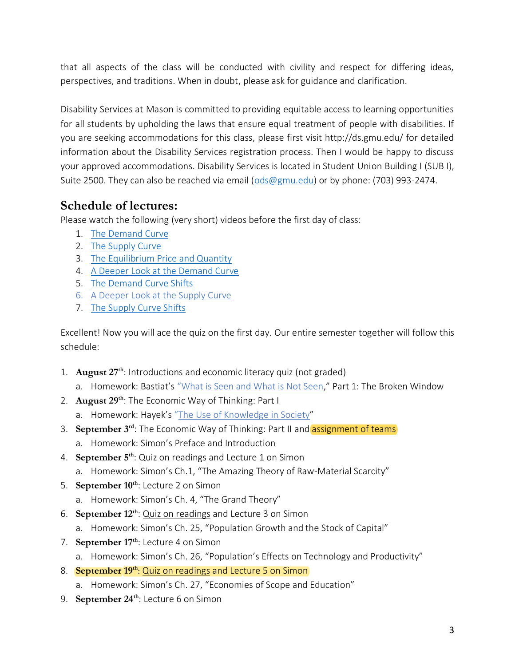that all aspects of the class will be conducted with civility and respect for differing ideas, perspectives, and traditions. When in doubt, please ask for guidance and clarification.

Disability Services at Mason is committed to providing equitable access to learning opportunities for all students by upholding the laws that ensure equal treatment of people with disabilities. If you are seeking accommodations for this class, please first visit http://ds.gmu.edu/ for detailed information about the Disability Services registration process. Then I would be happy to discuss your approved accommodations. Disability Services is located in Student Union Building I (SUB I), Suite 2500. They can also be reached via email [\(ods@gmu.edu\)](mailto:ods@gmu.edu) or by phone: (703) 993-2474.

## **Schedule of lectures:**

Please watch the following (very short) videos before the first day of class:

- 1. [The Demand Curve](https://www.mruniversity.com/courses/principles-economics-microeconomics/demand-curve-shifts-definition)
- 2. [The Supply Curve](https://www.mruniversity.com/courses/principles-economics-microeconomics/supply-curve-definition-example)
- 3. [The Equilibrium Price and Quantity](https://www.mruniversity.com/courses/principles-economics-microeconomics/equilibrium-price-supply-demand-example)
- 4. [A Deeper Look at the Demand Curve](https://www.mruniversity.com/courses/principles-economics-microeconomics/demand-curve-consumer-surplus-definition)
- 5. [The Demand Curve Shifts](https://www.mruniversity.com/courses/principles-economics-microeconomics/demand-curve-shifts-definition)
- 6. [A Deeper Look at the Supply Curve](https://www.mruniversity.com/courses/principles-economics-microeconomics/supply-curve-producer-surplus-definition)
- 7. [The Supply Curve Shifts](https://www.mruniversity.com/courses/principles-economics-microeconomics/supply-curve-shift)

Excellent! Now you will ace the quiz on the first day. Our entire semester together will follow this schedule:

- 1. **August 27th**: Introductions and economic literacy quiz (not graded)
	- a. Homework: Bastiat's "[What is Seen and What is Not Seen](https://www.econlib.org/library/Bastiat/basEss.html?chapter_num=4#book-reader)," Part 1: The Broken Window
- 2. **August 29th**: The Economic Way of Thinking: Part I a. Homework: Hayek's "[The Use of Knowledge in Society](https://www.jstor.org/stable/pdf/1809376.pdf?casa_token=vZpSI_laSCQAAAAA:MWGgvbyzQT_Q4AkAkjO4aqKMzhuu97cbYAwuVWhviLtNlC1JJJCkT9NorL8RZ4kKK47oFL60o-dmX_p81StoCcMRGx_UkJ0UcudfRAkoRF4cWATYHuaa)"
- 3. **September 3<sup>rd</sup>:** The Economic Way of Thinking: Part II and **assignment of teams** 
	- a. Homework: Simon's Preface and Introduction
- 4. **September 5th**: Quiz on readings and Lecture 1 on Simon
	- a. Homework: Simon's Ch.1, "The Amazing Theory of Raw-Material Scarcity"
- 5. **September 10th**: Lecture 2 on Simon
	- a. Homework: Simon's Ch. 4, "The Grand Theory"
- 6. **September 12th**: Quiz on readings and Lecture 3 on Simon
	- a. Homework: Simon's Ch. 25, "Population Growth and the Stock of Capital"
- 7. **September 17th**: Lecture 4 on Simon
	- a. Homework: Simon's Ch. 26, "Population's Effects on Technology and Productivity"
- 8. **September 19th**: Quiz on readings and Lecture 5 on Simon
	- a. Homework: Simon's Ch. 27, "Economies of Scope and Education"
- 9. **September 24th**: Lecture 6 on Simon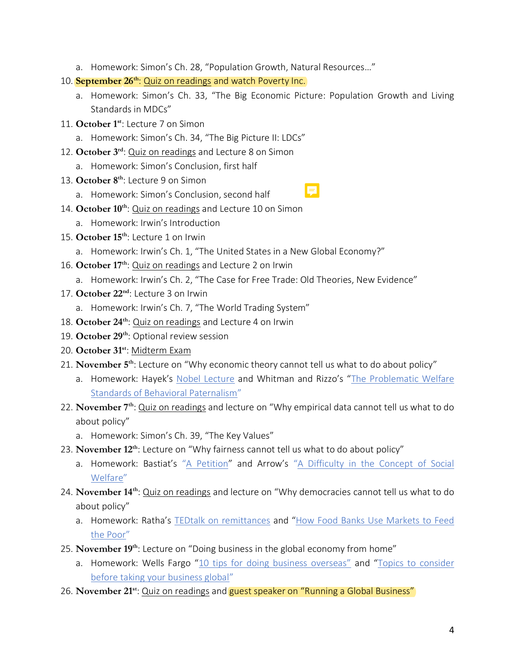- a. Homework: Simon's Ch. 28, "Population Growth, Natural Resources…"
- 10. **September 26th**: Quiz on readings and watch Poverty Inc.
	- a. Homework: Simon's Ch. 33, "The Big Economic Picture: Population Growth and Living Standards in MDCs"
- 11. **October 1st**: Lecture 7 on Simon
	- a. Homework: Simon's Ch. 34, "The Big Picture II: LDCs"
- 12. **October 3rd**: Quiz on readings and Lecture 8 on Simon
	- a. Homework: Simon's Conclusion, first half
- 13. **October 8th**: Lecture 9 on Simon
	- a. Homework: Simon's Conclusion, second half
- 14. **October 10th**: Quiz on readings and Lecture 10 on Simon
	- a. Homework: Irwin's Introduction
- 15. **October 15th**: Lecture 1 on Irwin
	- a. Homework: Irwin's Ch. 1, "The United States in a New Global Economy?"
- 16. **October 17th**: Quiz on readings and Lecture 2 on Irwin
	- a. Homework: Irwin's Ch. 2, "The Case for Free Trade: Old Theories, New Evidence"
- 17. **October 22nd**: Lecture 3 on Irwin
	- a. Homework: Irwin's Ch. 7, "The World Trading System"
- 18. **October 24th**: Quiz on readings and Lecture 4 on Irwin
- 19. **October 29th**: Optional review session
- 20. **October 31st**: Midterm Exam
- 21. **November 5th**: Lecture on "Why economic theory cannot tell us what to do about policy"
	- a. Homework: Hayek's [Nobel Lecture](https://www.nobelprize.org/prizes/economic-sciences/1974/hayek/lecture/) and Whitman and Rizzo's "The Problematic Welfare [Standards of Behavioral Paternalism](http://citeseerx.ist.psu.edu/viewdoc/download?doi=10.1.1.1012.5242&rep=rep1&type=pdf)"
- 22. **November 7th**: Quiz on readings and lecture on "Why empirical data cannot tell us what to do about policy"
	- a. Homework: Simon's Ch. 39, "The Key Values"
- 23. **November 12th**: Lecture on "Why fairness cannot tell us what to do about policy"
	- a. Homework: Bastiat's "[A Petition](https://www.econlib.org/library/Bastiat/basSoph.html?chapter_num=11#book-reader)" and Arrow's "[A Difficulty in the Concept of Social](https://s3.amazonaws.com/academia.edu.documents/40888103/arrow.pdf?response-content-disposition=inline%3B%20filename%3DArrow.pdf&X-Amz-Algorithm=AWS4-HMAC-SHA256&X-Amz-Credential=AKIAIWOWYYGZ2Y53UL3A%2F20190729%2Fus-east-1%2Fs3%2Faws4_request&X-Amz-Date=20190729T161657Z&X-Amz-Expires=3600&X-Amz-SignedHeaders=host&X-Amz-Signature=9228f0736d988ccbc4ca18dcb67c0fa281141ad787612303d2e1f26babb6856d)  [Welfare](https://s3.amazonaws.com/academia.edu.documents/40888103/arrow.pdf?response-content-disposition=inline%3B%20filename%3DArrow.pdf&X-Amz-Algorithm=AWS4-HMAC-SHA256&X-Amz-Credential=AKIAIWOWYYGZ2Y53UL3A%2F20190729%2Fus-east-1%2Fs3%2Faws4_request&X-Amz-Date=20190729T161657Z&X-Amz-Expires=3600&X-Amz-SignedHeaders=host&X-Amz-Signature=9228f0736d988ccbc4ca18dcb67c0fa281141ad787612303d2e1f26babb6856d)"
- 24. **November 14th**: Quiz on readings and lecture on "Why democracies cannot tell us what to do about policy"
	- a. Homework: Ratha's [TEDtalk on remittances](https://www.ted.com/talks/dilip_ratha_the_hidden_force_in_global_economics_sending_money_home?language=en) and "[How Food Banks Use Markets to Feed](https://pubs.aeaweb.org/doi/pdfplus/10.1257/jep.31.4.145)  [the Poor](https://pubs.aeaweb.org/doi/pdfplus/10.1257/jep.31.4.145)"
- 25. **November 19th**: Lecture on "Doing business in the global economy from home"
	- a. Homework: Wells Fargo ["10 tips for doing business overseas"](https://wellsfargoworks.com/planning/article/10-tips-for-doing-business-overseas) and "Topics to consider [before taking your business global](https://wellsfargoworks.com/planning/article/topics-to-consider-before-taking-your-business-global)"
- 26. **November 21st**: Quiz on readings and guest speaker on "Running a Global Business"